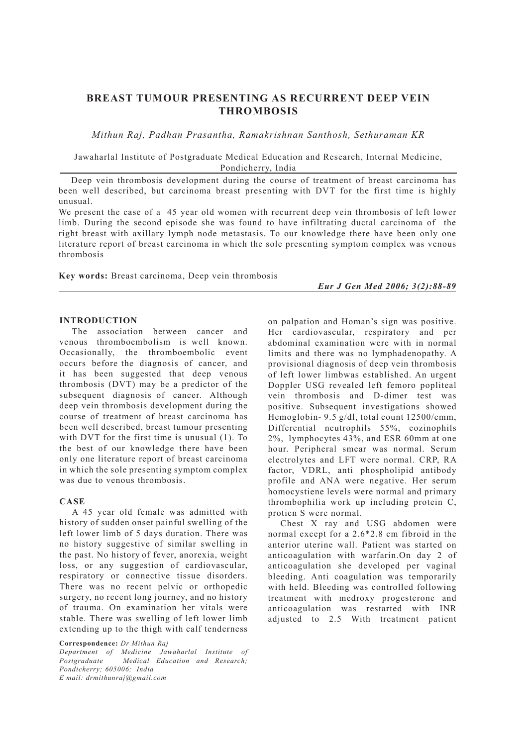# **BREAST TUMOUR PRESENTING AS RECURRENT DEEP VEIN THROMBOSIS**

*Mithun Raj, Padhan Prasantha, Ramakrishnan Santhosh, Sethuraman KR*

Jawaharlal Institute of Postgraduate Medical Education and Research, Internal Medicine, Pondicherry, India

Deep vein thrombosis development during the course of treatment of breast carcinoma has been well described, but carcinoma breast presenting with DVT for the first time is highly unusual.

We present the case of a 45 year old women with recurrent deep vein thrombosis of left lower limb. During the second episode she was found to have infiltrating ductal carcinoma of the right breast with axillary lymph node metastasis. To our knowledge there have been only one literature report of breast carcinoma in which the sole presenting symptom complex was venous thrombosis

**Key words:** Breast carcinoma, Deep vein thrombosis

*Eur J Gen Med 2006; 3(2):88-89*

#### **INTRODUCTION**

The association between cancer and venous thromboembolism is well known. Occasionally, the thromboembolic event occurs before the diagnosis of cancer, and it has been suggested that deep venous thrombosis (DVT) may be a predictor of the subsequent diagnosis of cancer. Although deep vein thrombosis development during the course of treatment of breast carcinoma has been well described, breast tumour presenting with DVT for the first time is unusual (1). To the best of our knowledge there have been only one literature report of breast carcinoma in which the sole presenting symptom complex was due to venous thrombosis.

### **CASE**

A 45 year old female was admitted with history of sudden onset painful swelling of the left lower limb of 5 days duration. There was no history suggestive of similar swelling in the past. No history of fever, anorexia, weight loss, or any suggestion of cardiovascular, respiratory or connective tissue disorders. There was no recent pelvic or orthopedic surgery, no recent long journey, and no history of trauma. On examination her vitals were stable. There was swelling of left lower limb extending up to the thigh with calf tenderness

**Correspondence:** *Dr Mithun Raj* 

*Department of Medicine Jawaharlal Institute of Postgraduate Medical Education and Research; Pondicherry; 605006; India E mail: drmithunraj@gmail.com*

on palpation and Homan's sign was positive. Her cardiovascular, respiratory and per abdominal examination were with in normal limits and there was no lymphadenopathy. A provisional diagnosis of deep vein thrombosis of left lower limbwas established. An urgent Doppler USG revealed left femoro popliteal vein thrombosis and D-dimer test was positive. Subsequent investigations showed Hemoglobin- 9.5 g/dl, total count 12500/cmm, Differential neutrophils 55%, eozinophils 2%, lymphocytes 43%, and ESR 60mm at one hour. Peripheral smear was normal. Serum electrolytes and LFT were normal. CRP, RA factor, VDRL, anti phospholipid antibody profile and ANA were negative. Her serum homocystiene levels were normal and primary thrombophilia work up including protein C, protien S were normal.

Chest X ray and USG abdomen were normal except for a 2.6\*2.8 cm fibroid in the anterior uterine wall. Patient was started on anticoagulation with warfarin.On day 2 of anticoagulation she developed per vaginal bleeding. Anti coagulation was temporarily with held. Bleeding was controlled following treatment with medroxy progesterone and anticoagulation was restarted with INR adjusted to 2.5 With treatment patient